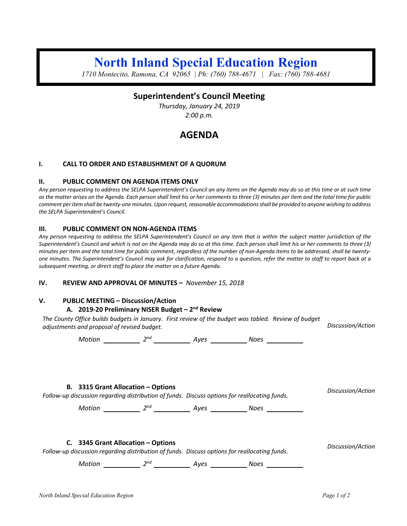# **North Inland Special Education Region**

*1710 Montecito, Ramona, CA 92065 | Ph: (760) 788-4671 | Fax: (760) 788-4681*

### **Superintendent's Council Meeting**

*Thursday, January 24, 2019 2:00 p.m.*

## **AGENDA**

#### **I. CALL TO ORDER AND ESTABLISHMENT OF A QUORUM**

#### **II. PUBLIC COMMENT ON AGENDA ITEMS ONLY**

*Any person requesting to address the SELPA Superintendent's Council an any items on the Agenda may do so at this time or at such time as the matter arises on the Agenda. Each person shall limit his or her comments to three (3) minutes per item and the total time for public comment per item shall be twenty-one minutes. Upon request, reasonable accommodations shall be provided to anyone wishing to address the SELPA Superintendent's Council.*

#### **III. PUBLIC COMMENT ON NON-AGENDA ITEMS**

*Any person requesting to address the SELPA Superintendent's Council on any item that is within the subject matter jurisdiction of the Superintendent's Council and which is not on the Agenda may do so at this time. Each person shall limit his or her comments to three (3) minutes per item and the total time for public comment, regardless of the number of non-Agenda items to be addressed, shall be twentyone minutes. The Superintendent's Council may ask for clarification, respond to a question, refer the matter to staff to report back at a subsequent meeting, or direct staff to place the matter on a future Agenda.*

#### **IV. REVIEW AND APPROVAL OF MINUTES –** *November 15, 2018*

#### **V. PUBLIC MEETING – Discussion/Action**

#### **A. 2019-20 Preliminary NISER Budget – 2nd Review**

*The County Office builds budgets in January. First review of the budget was tabled. Review of budget adjustments and proposal of revised budget. Discussion/Action*

*Motion* 2<sup>nd</sup> 2<sup>nd</sup> Ayes 2006 2

**B. 3315 Grant Allocation – Options** *Follow-up discussion regarding distribution of funds. Discuss options for reallocating funds. Discussion/Action*

*Motion* 2<sup>nd</sup> 2<sup>nd</sup> 4yes 2008 Noes

**C. 3345 Grant Allocation – Options**

*Follow-up discussion regarding distribution of funds. Discuss options for reallocating funds. Discussion/Action*

*Motion 2nd Ayes Noes*